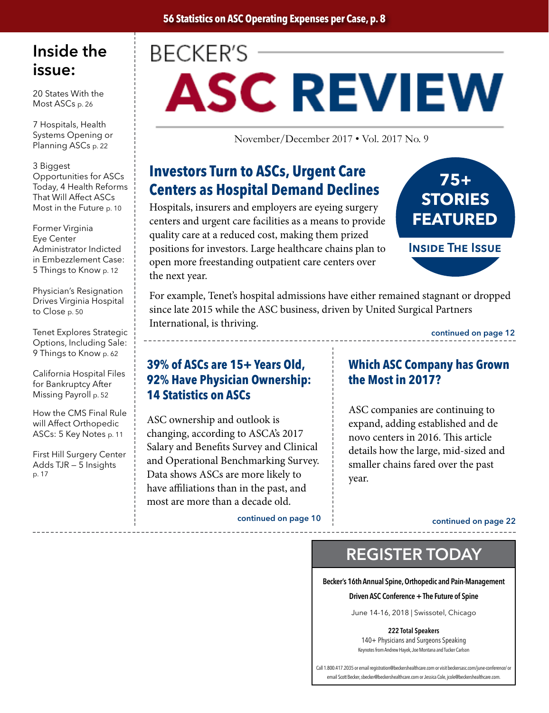## Inside the issue:

20 States With the Most ASCs p. 26

7 Hospitals, Health Systems Opening or Planning ASCs p. 22

3 Biggest Opportunities for ASCs Today, 4 Health Reforms That Will Affect ASCs Most in the Future p. 10

Former Virginia Eye Center Administrator Indicted in Embezzlement Case: 5 Things to Know p. 12

Physician's Resignation Drives Virginia Hospital to Close p. 50

Tenet Explores Strategic Options, Including Sale: 9 Things to Know p. 62

California Hospital Files for Bankruptcy After Missing Payroll p. 52

How the CMS Final Rule will Affect Orthopedic ASCs: 5 Key Notes p. 11

First Hill Surgery Center Adds TJR — 5 Insights p. 17

# **BECKER'S ASC REVIEW**

November/December 2017 • Vol. 2017 No. 9

### **Investors Turn to ASCs, Urgent Care Centers as Hospital Demand Declines**

Hospitals, insurers and employers are eyeing surgery centers and urgent care facilities as a means to provide quality care at a reduced cost, making them prized positions for investors. Large healthcare chains plan to open more freestanding outpatient care centers over the next year.



Inside The Issue

For example, Tenet's hospital admissions have either remained stagnant or dropped since late 2015 while the ASC business, driven by United Surgical Partners International, is thriving.

continued on page 12

#### **39% of ASCs are 15+ Years Old, 92% Have Physician Ownership: 14 Statistics on ASCs**

ASC ownership and outlook is changing, according to ASCA's 2017 Salary and Benefits Survey and Clinical and Operational Benchmarking Survey. Data shows ASCs are more likely to have affiliations than in the past, and most are more than a decade old.

continued on page 10 continued on page 22

### **Which ASC Company has Grown the Most in 2017?**

ASC companies are continuing to expand, adding established and de novo centers in 2016. This article details how the large, mid-sized and smaller chains fared over the past year.

### REGISTER TODAY

Becker's 16th Annual Spine, Orthopedic and Pain-Management Driven ASC Conference + The Future of Spine

June 14-16, 2018 | Swissotel, Chicago

222 Total Speakers

140+ Physicians and Surgeons Speaking Keynotes from Andrew Hayek, Joe Montana and Tucker Carlson

Call 1.800.417.2035 or email registration@beckershealthcare.com or visit beckersasc.com/june-conference/ or email Scott Becker, sbecker@beckershealthcare.com or Jessica Cole, jcole@beckershealthcare.com.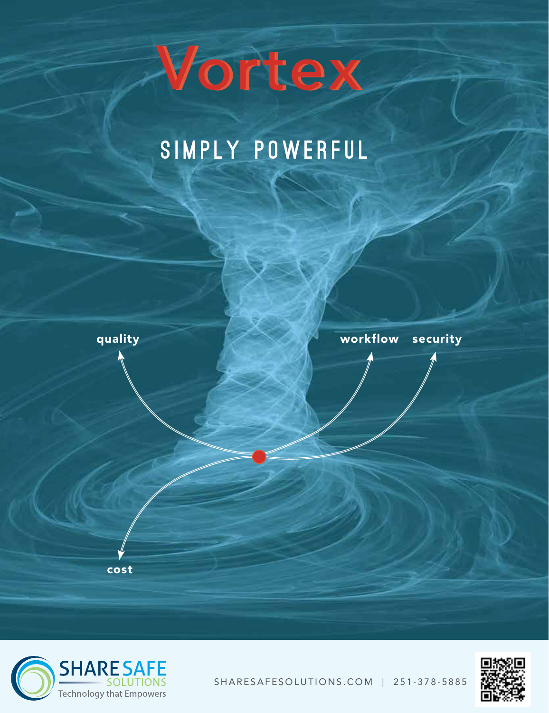# Vortex Vortex

# SIMPLY POWERFUL







SHARESAFESOLUTIONS.COM | 251-378-5885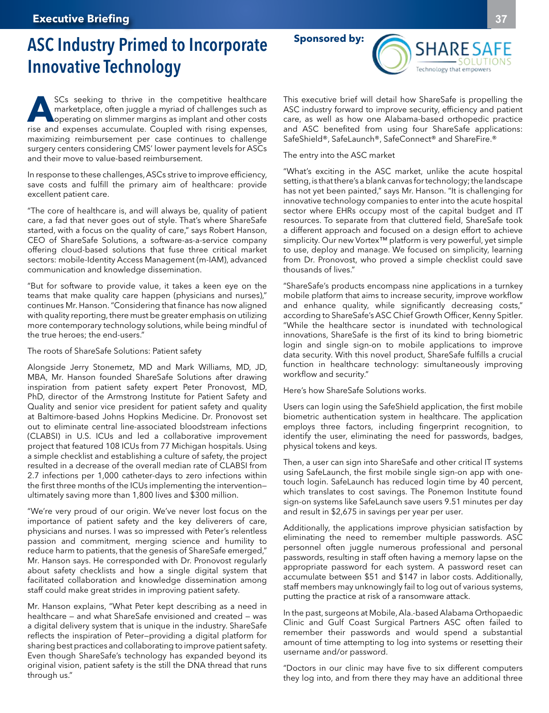## ASC Industry Primed to Incorporate Innovative Technology

SCs seeking to thrive in the competitive healthcare<br>
marketplace, often juggle a myriad of challenges such as<br>
operating on slimmer margins as implant and other costs<br>
rise and expanses assumulate Coupled with rising expan marketplace, often juggle a myriad of challenges such as operating on slimmer margins as implant and other costs rise and expenses accumulate. Coupled with rising expenses, maximizing reimbursement per case continues to challenge surgery centers considering CMS' lower payment levels for ASCs and their move to value-based reimbursement.

In response to these challenges, ASCs strive to improve efficiency, save costs and fulfill the primary aim of healthcare: provide excellent patient care.

"The core of healthcare is, and will always be, quality of patient care, a fad that never goes out of style. That's where ShareSafe started, with a focus on the quality of care," says Robert Hanson, CEO of ShareSafe Solutions, a software-as-a-service company offering cloud-based solutions that fuse three critical market sectors: mobile-Identity Access Management (m-IAM), advanced communication and knowledge dissemination.

"But for software to provide value, it takes a keen eye on the teams that make quality care happen (physicians and nurses)," continues Mr. Hanson. "Considering that finance has now aligned with quality reporting, there must be greater emphasis on utilizing more contemporary technology solutions, while being mindful of the true heroes; the end-users."

The roots of ShareSafe Solutions: Patient safety

Alongside Jerry Stonemetz, MD and Mark Williams, MD, JD, MBA, Mr. Hanson founded ShareSafe Solutions after drawing inspiration from patient safety expert Peter Pronovost, MD, PhD, director of the Armstrong Institute for Patient Safety and Quality and senior vice president for patient safety and quality at Baltimore-based Johns Hopkins Medicine. Dr. Pronovost set out to eliminate central line-associated bloodstream infections (CLABSI) in U.S. ICUs and led a collaborative improvement project that featured 108 ICUs from 77 Michigan hospitals. Using a simple checklist and establishing a culture of safety, the project resulted in a decrease of the overall median rate of CLABSI from 2.7 infections per 1,000 catheter-days to zero infections within the first three months of the ICUs implementing the intervention ultimately saving more than 1,800 lives and \$300 million.

"We're very proud of our origin. We've never lost focus on the importance of patient safety and the key deliverers of care, physicians and nurses. I was so impressed with Peter's relentless passion and commitment, merging science and humility to reduce harm to patients, that the genesis of ShareSafe emerged," Mr. Hanson says. He corresponded with Dr. Pronovost regularly about safety checklists and how a single digital system that facilitated collaboration and knowledge dissemination among staff could make great strides in improving patient safety.

Mr. Hanson explains, "What Peter kept describing as a need in healthcare — and what ShareSafe envisioned and created — was a digital delivery system that is unique in the industry. ShareSafe reflects the inspiration of Peter—providing a digital platform for sharing best practices and collaborating to improve patient safety. Even though ShareSafe's technology has expanded beyond its original vision, patient safety is the still the DNA thread that runs through us."

**Sponsored by:**

**SHARE SAFE** Technology that empowers

This executive brief will detail how ShareSafe is propelling the ASC industry forward to improve security, efficiency and patient care, as well as how one Alabama-based orthopedic practice and ASC benefited from using four ShareSafe applications: SafeShield®, SafeLaunch®, SafeConnect® and ShareFire.®

The entry into the ASC market

"What's exciting in the ASC market, unlike the acute hospital setting, is that there's a blank canvas for technology; the landscape has not yet been painted," says Mr. Hanson. "It is challenging for innovative technology companies to enter into the acute hospital sector where EHRs occupy most of the capital budget and IT resources. To separate from that cluttered field, ShareSafe took a different approach and focused on a design effort to achieve simplicity. Our new Vortex™ platform is very powerful, yet simple to use, deploy and manage. We focused on simplicity, learning from Dr. Pronovost, who proved a simple checklist could save thousands of lives."

"ShareSafe's products encompass nine applications in a turnkey mobile platform that aims to increase security, improve workflow and enhance quality, while significantly decreasing costs," according to ShareSafe's ASC Chief Growth Officer, Kenny Spitler. "While the healthcare sector is inundated with technological innovations, ShareSafe is the first of its kind to bring biometric login and single sign-on to mobile applications to improve data security. With this novel product, ShareSafe fulfills a crucial function in healthcare technology: simultaneously improving workflow and security."

Here's how ShareSafe Solutions works.

Users can login using the SafeShield application, the first mobile biometric authentication system in healthcare. The application employs three factors, including fingerprint recognition, to identify the user, eliminating the need for passwords, badges, physical tokens and keys.

Then, a user can sign into ShareSafe and other critical IT systems using SafeLaunch, the first mobile single sign-on app with onetouch login. SafeLaunch has reduced login time by 40 percent, which translates to cost savings. The Ponemon Institute found sign-on systems like SafeLaunch save users 9.51 minutes per day and result in \$2,675 in savings per year per user.

Additionally, the applications improve physician satisfaction by eliminating the need to remember multiple passwords. ASC personnel often juggle numerous professional and personal passwords, resulting in staff often having a memory lapse on the appropriate password for each system. A password reset can accumulate between \$51 and \$147 in labor costs. Additionally, staff members may unknowingly fail to log out of various systems, putting the practice at risk of a ransomware attack.

In the past, surgeons at Mobile, Ala.-based Alabama Orthopaedic Clinic and Gulf Coast Surgical Partners ASC often failed to remember their passwords and would spend a substantial amount of time attempting to log into systems or resetting their username and/or password.

"Doctors in our clinic may have five to six different computers they log into, and from there they may have an additional three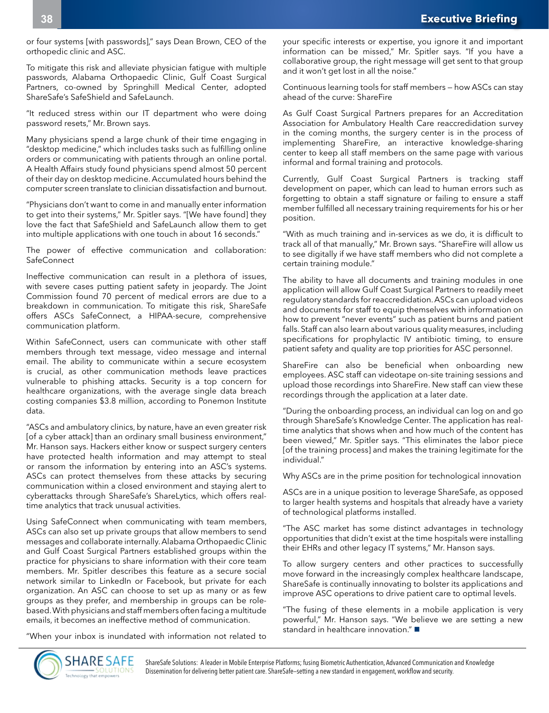or four systems [with passwords]," says Dean Brown, CEO of the orthopedic clinic and ASC.

To mitigate this risk and alleviate physician fatigue with multiple passwords, Alabama Orthopaedic Clinic, Gulf Coast Surgical Partners, co-owned by Springhill Medical Center, adopted ShareSafe's SafeShield and SafeLaunch.

"It reduced stress within our IT department who were doing password resets," Mr. Brown says.

Many physicians spend a large chunk of their time engaging in "desktop medicine," which includes tasks such as fulfilling online orders or communicating with patients through an online portal. A Health Affairs study found physicians spend almost 50 percent of their day on desktop medicine. Accumulated hours behind the computer screen translate to clinician dissatisfaction and burnout.

"Physicians don't want to come in and manually enter information to get into their systems," Mr. Spitler says. "[We have found] they love the fact that SafeShield and SafeLaunch allow them to get into multiple applications with one touch in about 16 seconds."

The power of effective communication and collaboration: **SafeConnect** 

Ineffective communication can result in a plethora of issues, with severe cases putting patient safety in jeopardy. The Joint Commission found 70 percent of medical errors are due to a breakdown in communication. To mitigate this risk, ShareSafe offers ASCs SafeConnect, a HIPAA-secure, comprehensive communication platform.

Within SafeConnect, users can communicate with other staff members through text message, video message and internal email. The ability to communicate within a secure ecosystem is crucial, as other communication methods leave practices vulnerable to phishing attacks. Security is a top concern for healthcare organizations, with the average single data breach costing companies \$3.8 million, according to Ponemon Institute data.

"ASCs and ambulatory clinics, by nature, have an even greater risk [of a cyber attack] than an ordinary small business environment," Mr. Hanson says. Hackers either know or suspect surgery centers have protected health information and may attempt to steal or ransom the information by entering into an ASC's systems. ASCs can protect themselves from these attacks by securing communication within a closed environment and staying alert to cyberattacks through ShareSafe's ShareLytics, which offers realtime analytics that track unusual activities.

Using SafeConnect when communicating with team members, ASCs can also set up private groups that allow members to send messages and collaborate internally. Alabama Orthopaedic Clinic and Gulf Coast Surgical Partners established groups within the practice for physicians to share information with their core team members. Mr. Spitler describes this feature as a secure social network similar to LinkedIn or Facebook, but private for each organization. An ASC can choose to set up as many or as few groups as they prefer, and membership in groups can be rolebased. With physicians and staff members often facing a multitude emails, it becomes an ineffective method of communication.

"When your inbox is inundated with information not related to

your specific interests or expertise, you ignore it and important information can be missed," Mr. Spitler says. "If you have a collaborative group, the right message will get sent to that group and it won't get lost in all the noise."

Continuous learning tools for staff members — how ASCs can stay ahead of the curve: ShareFire

As Gulf Coast Surgical Partners prepares for an Accreditation Association for Ambulatory Health Care reaccredidation survey in the coming months, the surgery center is in the process of implementing ShareFire, an interactive knowledge-sharing center to keep all staff members on the same page with various informal and formal training and protocols.

Currently, Gulf Coast Surgical Partners is tracking staff development on paper, which can lead to human errors such as forgetting to obtain a staff signature or failing to ensure a staff member fulfilled all necessary training requirements for his or her position.

"With as much training and in-services as we do, it is difficult to track all of that manually," Mr. Brown says. "ShareFire will allow us to see digitally if we have staff members who did not complete a certain training module."

The ability to have all documents and training modules in one application will allow Gulf Coast Surgical Partners to readily meet regulatory standards for reaccredidation. ASCs can upload videos and documents for staff to equip themselves with information on how to prevent "never events" such as patient burns and patient falls. Staff can also learn about various quality measures, including specifications for prophylactic IV antibiotic timing, to ensure patient safety and quality are top priorities for ASC personnel.

ShareFire can also be beneficial when onboarding new employees. ASC staff can videotape on-site training sessions and upload those recordings into ShareFire. New staff can view these recordings through the application at a later date.

"During the onboarding process, an individual can log on and go through ShareSafe's Knowledge Center. The application has realtime analytics that shows when and how much of the content has been viewed," Mr. Spitler says. "This eliminates the labor piece [of the training process] and makes the training legitimate for the individual."

Why ASCs are in the prime position for technological innovation

ASCs are in a unique position to leverage ShareSafe, as opposed to larger health systems and hospitals that already have a variety of technological platforms installed.

"The ASC market has some distinct advantages in technology opportunities that didn't exist at the time hospitals were installing their EHRs and other legacy IT systems," Mr. Hanson says.

To allow surgery centers and other practices to successfully move forward in the increasingly complex healthcare landscape, ShareSafe is continually innovating to bolster its applications and improve ASC operations to drive patient care to optimal levels.

"The fusing of these elements in a mobile application is very powerful," Mr. Hanson says. "We believe we are setting a new standard in healthcare innovation." $\blacksquare$ 



ShareSafe Solutions: A leader in Mobile Enterprise Platforms; fusing Biometric Authentication, Advanced Communication and Knowledge Dissemination for delivering better patient care. ShareSafe—setting a new standard in engagement, workflow and security.